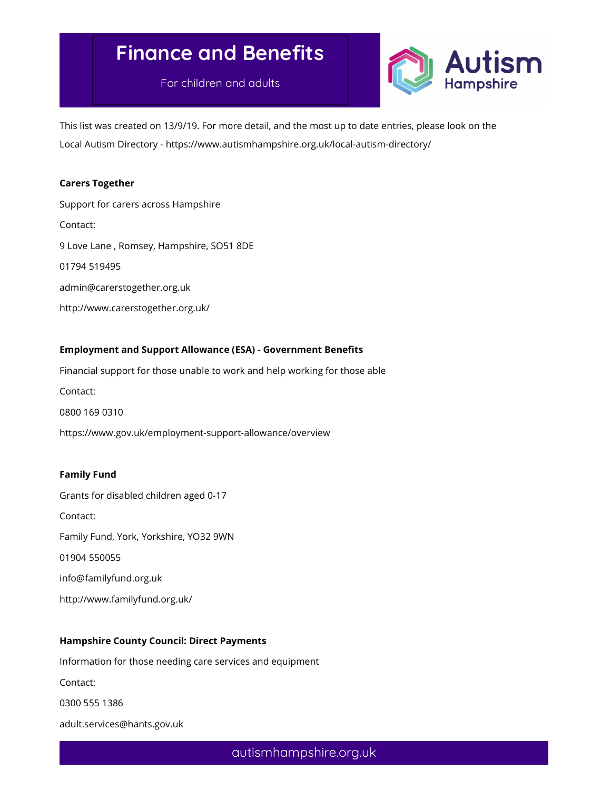# Finance and Benefits

For children and adults



This list was created on 13/9/19. For more detail, and the most up to date entries, please look on the Local Autism Directory - https://www.autismhampshire.org.uk/local-autism-directory/

## Carers Together

Support for carers across Hampshire Contact: 9 Love Lane , Romsey, Hampshire, SO51 8DE 01794 519495 admin@carerstogether.org.uk http://www.carerstogether.org.uk/

## Employment and Support Allowance (ESA) - Government Benefits

Financial support for those unable to work and help working for those able

Contact:

0800 169 0310

https://www.gov.uk/employment-support-allowance/overview

#### Family Fund

Grants for disabled children aged 0-17 Contact: Family Fund, York, Yorkshire, YO32 9WN 01904 550055 info@familyfund.org.uk http://www.familyfund.org.uk/

## Hampshire County Council: Direct Payments

Information for those needing care services and equipment

Contact:

0300 555 1386

adult.services@hants.gov.uk

autismhampshire.org.uk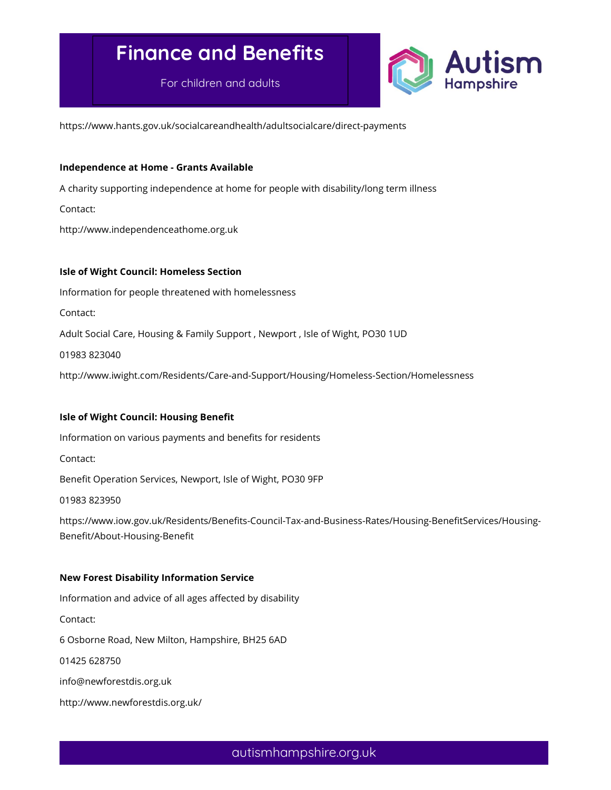# Finance and Benefits

For children and adults



https://www.hants.gov.uk/socialcareandhealth/adultsocialcare/direct-payments

#### Independence at Home - Grants Available

A charity supporting independence at home for people with disability/long term illness

Contact:

http://www.independenceathome.org.uk

#### Isle of Wight Council: Homeless Section

Information for people threatened with homelessness

Contact:

Adult Social Care, Housing & Family Support , Newport , Isle of Wight, PO30 1UD

01983 823040

http://www.iwight.com/Residents/Care-and-Support/Housing/Homeless-Section/Homelessness

### Isle of Wight Council: Housing Benefit

Information on various payments and benefits for residents

Contact:

Benefit Operation Services, Newport, Isle of Wight, PO30 9FP

01983 823950

https://www.iow.gov.uk/Residents/Benefits-Council-Tax-and-Business-Rates/Housing-BenefitServices/Housing-Benefit/About-Housing-Benefit

#### New Forest Disability Information Service

Information and advice of all ages affected by disability

Contact:

6 Osborne Road, New Milton, Hampshire, BH25 6AD

01425 628750

info@newforestdis.org.uk

http://www.newforestdis.org.uk/